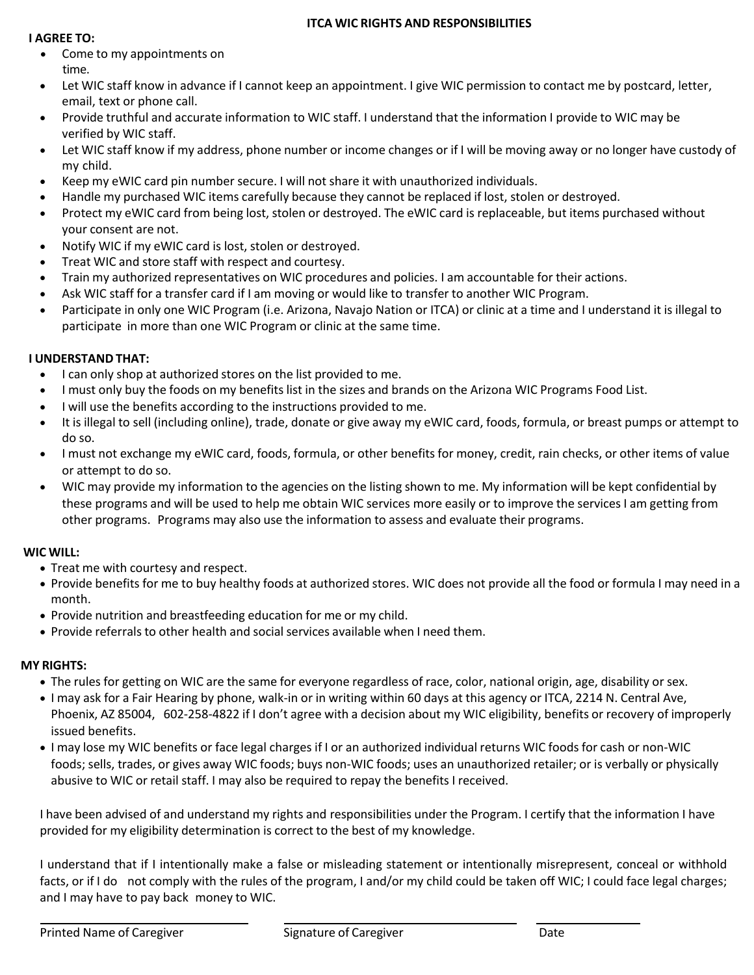### **ITCA WIC RIGHTS AND RESPONSIBILITIES**

#### **I AGREE TO:**

- Come to my appointments on time.
- Let WIC staff know in advance if I cannot keep an appointment. I give WIC permission to contact me by postcard, letter, email, text or phone call.
- Provide truthful and accurate information to WIC staff. I understand that the information I provide to WIC may be verified by WIC staff.
- Let WIC staff know if my address, phone number or income changes or if I will be moving away or no longer have custody of my child.
- Keep my eWIC card pin number secure. I will not share it with unauthorized individuals.
- Handle my purchased WIC items carefully because they cannot be replaced if lost, stolen or destroyed.
- Protect my eWIC card from being lost, stolen or destroyed. The eWIC card is replaceable, but items purchased without your consent are not.
- Notify WIC if my eWIC card is lost, stolen or destroyed.
- Treat WIC and store staff with respect and courtesy.
- Train my authorized representatives on WIC procedures and policies. I am accountable for their actions.
- Ask WIC staff for a transfer card if I am moving or would like to transfer to another WIC Program.
- Participate in only one WIC Program (i.e. Arizona, Navajo Nation or ITCA) or clinic at a time and I understand it is illegal to participate in more than one WIC Program or clinic at the same time.

## **I UNDERSTAND THAT:**

- I can only shop at authorized stores on the list provided to me.
- I must only buy the foods on my benefits list in the sizes and brands on the Arizona WIC Programs Food List.
- I will use the benefits according to the instructions provided to me.
- It is illegal to sell (including online), trade, donate or give away my eWIC card, foods, formula, or breast pumps or attempt to do so.
- I must not exchange my eWIC card, foods, formula, or other benefits for money, credit, rain checks, or other items of value or attempt to do so.
- WIC may provide my information to the agencies on the listing shown to me. My information will be kept confidential by these programs and will be used to help me obtain WIC services more easily or to improve the services I am getting from other programs. Programs may also use the information to assess and evaluate their programs.

## **WIC WILL:**

- Treat me with courtesy and respect.
- Provide benefits for me to buy healthy foods at authorized stores. WIC does not provide all the food or formula I may need in a month.
- Provide nutrition and breastfeeding education for me or my child.
- Provide referrals to other health and social services available when I need them.

# **MY RIGHTS:**

- The rules for getting on WIC are the same for everyone regardless of race, color, national origin, age, disability or sex.
- I may ask for a Fair Hearing by phone, walk-in or in writing within 60 days at this agency or ITCA, 2214 N. Central Ave, Phoenix, AZ 85004, 602-258-4822 if I don't agree with a decision about my WIC eligibility, benefits or recovery of improperly issued benefits.
- I may lose my WIC benefits or face legal charges if I or an authorized individual returns WIC foodsfor cash or non-WIC foods; sells, trades, or gives away WIC foods; buys non-WIC foods; uses an unauthorized retailer; or is verbally or physically abusive to WIC or retail staff. I may also be required to repay the benefits I received.

I have been advised of and understand my rights and responsibilities under the Program. I certify that the information I have provided for my eligibility determination is correct to the best of my knowledge.

I understand that if I intentionally make a false or misleading statement or intentionally misrepresent, conceal or withhold facts, or if I do not comply with the rules of the program, I and/or my child could be taken off WIC; I could face legal charges; and I may have to pay back money to WIC.